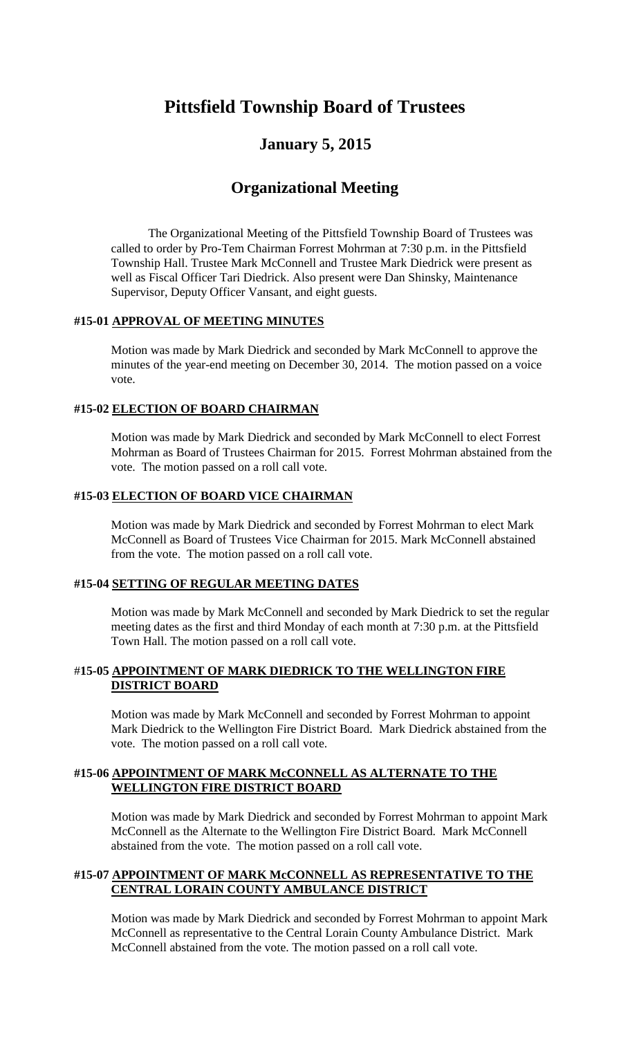# **Pittsfield Township Board of Trustees**

# **January 5, 2015**

# **Organizational Meeting**

The Organizational Meeting of the Pittsfield Township Board of Trustees was called to order by Pro-Tem Chairman Forrest Mohrman at 7:30 p.m. in the Pittsfield Township Hall. Trustee Mark McConnell and Trustee Mark Diedrick were present as well as Fiscal Officer Tari Diedrick. Also present were Dan Shinsky, Maintenance Supervisor, Deputy Officer Vansant, and eight guests.

# **#15-01 APPROVAL OF MEETING MINUTES**

Motion was made by Mark Diedrick and seconded by Mark McConnell to approve the minutes of the year-end meeting on December 30, 2014. The motion passed on a voice vote.

# **#15-02 ELECTION OF BOARD CHAIRMAN**

Motion was made by Mark Diedrick and seconded by Mark McConnell to elect Forrest Mohrman as Board of Trustees Chairman for 2015. Forrest Mohrman abstained from the vote. The motion passed on a roll call vote.

#### **#15-03 ELECTION OF BOARD VICE CHAIRMAN**

Motion was made by Mark Diedrick and seconded by Forrest Mohrman to elect Mark McConnell as Board of Trustees Vice Chairman for 2015. Mark McConnell abstained from the vote. The motion passed on a roll call vote.

#### **#15-04 SETTING OF REGULAR MEETING DATES**

Motion was made by Mark McConnell and seconded by Mark Diedrick to set the regular meeting dates as the first and third Monday of each month at 7:30 p.m. at the Pittsfield Town Hall. The motion passed on a roll call vote.

# #**15-05 APPOINTMENT OF MARK DIEDRICK TO THE WELLINGTON FIRE DISTRICT BOARD**

Motion was made by Mark McConnell and seconded by Forrest Mohrman to appoint Mark Diedrick to the Wellington Fire District Board. Mark Diedrick abstained from the vote. The motion passed on a roll call vote.

# **#15-06 APPOINTMENT OF MARK McCONNELL AS ALTERNATE TO THE WELLINGTON FIRE DISTRICT BOARD**

Motion was made by Mark Diedrick and seconded by Forrest Mohrman to appoint Mark McConnell as the Alternate to the Wellington Fire District Board. Mark McConnell abstained from the vote. The motion passed on a roll call vote.

# **#15-07 APPOINTMENT OF MARK McCONNELL AS REPRESENTATIVE TO THE CENTRAL LORAIN COUNTY AMBULANCE DISTRICT**

Motion was made by Mark Diedrick and seconded by Forrest Mohrman to appoint Mark McConnell as representative to the Central Lorain County Ambulance District. Mark McConnell abstained from the vote. The motion passed on a roll call vote.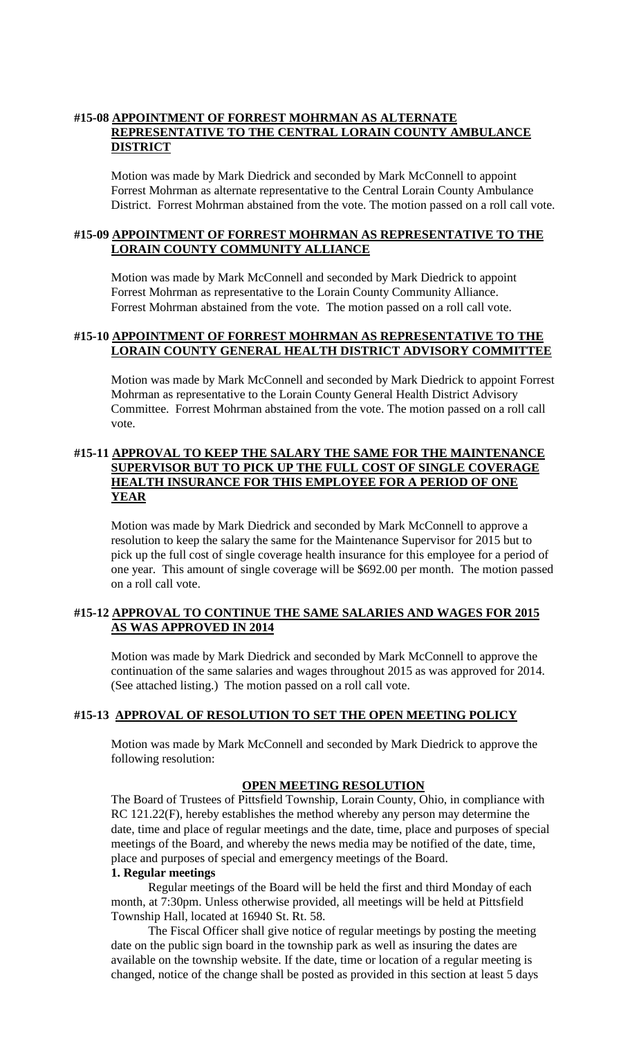# **#15-08 APPOINTMENT OF FORREST MOHRMAN AS ALTERNATE REPRESENTATIVE TO THE CENTRAL LORAIN COUNTY AMBULANCE DISTRICT**

Motion was made by Mark Diedrick and seconded by Mark McConnell to appoint Forrest Mohrman as alternate representative to the Central Lorain County Ambulance District. Forrest Mohrman abstained from the vote. The motion passed on a roll call vote.

# **#15-09 APPOINTMENT OF FORREST MOHRMAN AS REPRESENTATIVE TO THE LORAIN COUNTY COMMUNITY ALLIANCE**

Motion was made by Mark McConnell and seconded by Mark Diedrick to appoint Forrest Mohrman as representative to the Lorain County Community Alliance. Forrest Mohrman abstained from the vote. The motion passed on a roll call vote.

# **#15-10 APPOINTMENT OF FORREST MOHRMAN AS REPRESENTATIVE TO THE LORAIN COUNTY GENERAL HEALTH DISTRICT ADVISORY COMMITTEE**

Motion was made by Mark McConnell and seconded by Mark Diedrick to appoint Forrest Mohrman as representative to the Lorain County General Health District Advisory Committee. Forrest Mohrman abstained from the vote. The motion passed on a roll call vote.

# **#15-11 APPROVAL TO KEEP THE SALARY THE SAME FOR THE MAINTENANCE SUPERVISOR BUT TO PICK UP THE FULL COST OF SINGLE COVERAGE HEALTH INSURANCE FOR THIS EMPLOYEE FOR A PERIOD OF ONE YEAR**

Motion was made by Mark Diedrick and seconded by Mark McConnell to approve a resolution to keep the salary the same for the Maintenance Supervisor for 2015 but to pick up the full cost of single coverage health insurance for this employee for a period of one year. This amount of single coverage will be \$692.00 per month. The motion passed on a roll call vote.

# **#15-12 APPROVAL TO CONTINUE THE SAME SALARIES AND WAGES FOR 2015 AS WAS APPROVED IN 2014**

Motion was made by Mark Diedrick and seconded by Mark McConnell to approve the continuation of the same salaries and wages throughout 2015 as was approved for 2014. (See attached listing.) The motion passed on a roll call vote.

# **#15-13 APPROVAL OF RESOLUTION TO SET THE OPEN MEETING POLICY**

Motion was made by Mark McConnell and seconded by Mark Diedrick to approve the following resolution:

# **OPEN MEETING RESOLUTION**

The Board of Trustees of Pittsfield Township, Lorain County, Ohio, in compliance with RC 121.22(F), hereby establishes the method whereby any person may determine the date, time and place of regular meetings and the date, time, place and purposes of special meetings of the Board, and whereby the news media may be notified of the date, time, place and purposes of special and emergency meetings of the Board.

# **1. Regular meetings**

Regular meetings of the Board will be held the first and third Monday of each month, at 7:30pm. Unless otherwise provided, all meetings will be held at Pittsfield Township Hall, located at 16940 St. Rt. 58.

The Fiscal Officer shall give notice of regular meetings by posting the meeting date on the public sign board in the township park as well as insuring the dates are available on the township website. If the date, time or location of a regular meeting is changed, notice of the change shall be posted as provided in this section at least 5 days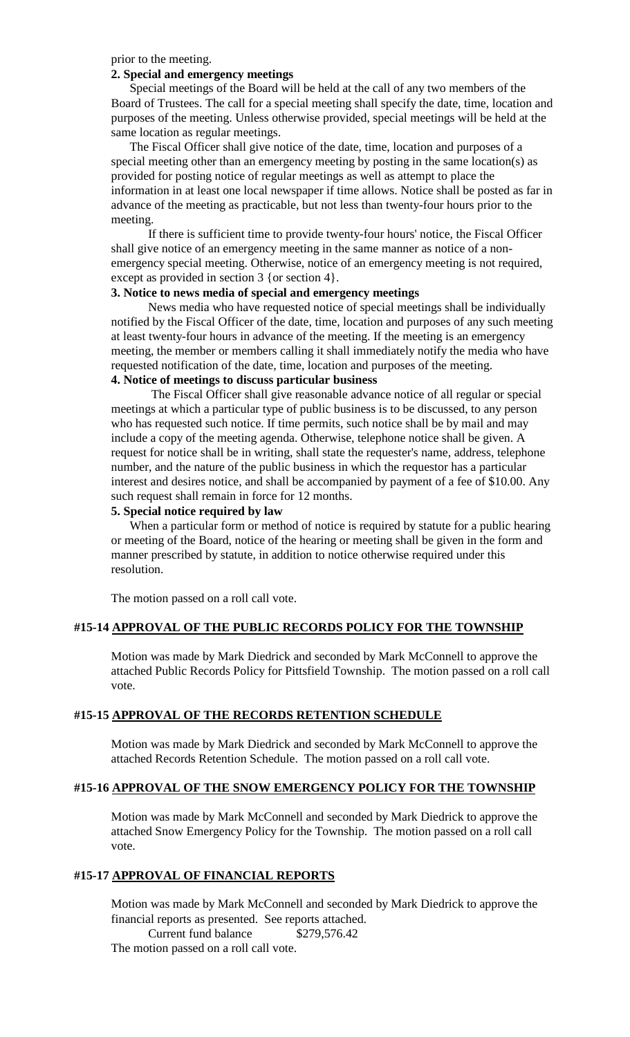prior to the meeting.

#### **2. Special and emergency meetings**

Special meetings of the Board will be held at the call of any two members of the Board of Trustees. The call for a special meeting shall specify the date, time, location and purposes of the meeting. Unless otherwise provided, special meetings will be held at the same location as regular meetings.

The Fiscal Officer shall give notice of the date, time, location and purposes of a special meeting other than an emergency meeting by posting in the same location(s) as provided for posting notice of regular meetings as well as attempt to place the information in at least one local newspaper if time allows. Notice shall be posted as far in advance of the meeting as practicable, but not less than twenty-four hours prior to the meeting.

If there is sufficient time to provide twenty-four hours' notice, the Fiscal Officer shall give notice of an emergency meeting in the same manner as notice of a nonemergency special meeting. Otherwise, notice of an emergency meeting is not required, except as provided in section 3 {or section 4}.

# **3. Notice to news media of special and emergency meetings**

News media who have requested notice of special meetings shall be individually notified by the Fiscal Officer of the date, time, location and purposes of any such meeting at least twenty-four hours in advance of the meeting. If the meeting is an emergency meeting, the member or members calling it shall immediately notify the media who have requested notification of the date, time, location and purposes of the meeting. **4. Notice of meetings to discuss particular business**

The Fiscal Officer shall give reasonable advance notice of all regular or special meetings at which a particular type of public business is to be discussed, to any person who has requested such notice. If time permits, such notice shall be by mail and may include a copy of the meeting agenda. Otherwise, telephone notice shall be given. A request for notice shall be in writing, shall state the requester's name, address, telephone number, and the nature of the public business in which the requestor has a particular interest and desires notice, and shall be accompanied by payment of a fee of \$10.00. Any such request shall remain in force for 12 months.

#### **5. Special notice required by law**

When a particular form or method of notice is required by statute for a public hearing or meeting of the Board, notice of the hearing or meeting shall be given in the form and manner prescribed by statute, in addition to notice otherwise required under this resolution.

The motion passed on a roll call vote.

#### **#15-14 APPROVAL OF THE PUBLIC RECORDS POLICY FOR THE TOWNSHIP**

Motion was made by Mark Diedrick and seconded by Mark McConnell to approve the attached Public Records Policy for Pittsfield Township. The motion passed on a roll call vote.

#### **#15-15 APPROVAL OF THE RECORDS RETENTION SCHEDULE**

Motion was made by Mark Diedrick and seconded by Mark McConnell to approve the attached Records Retention Schedule. The motion passed on a roll call vote.

#### **#15-16 APPROVAL OF THE SNOW EMERGENCY POLICY FOR THE TOWNSHIP**

Motion was made by Mark McConnell and seconded by Mark Diedrick to approve the attached Snow Emergency Policy for the Township. The motion passed on a roll call vote.

# **#15-17 APPROVAL OF FINANCIAL REPORTS**

Motion was made by Mark McConnell and seconded by Mark Diedrick to approve the financial reports as presented. See reports attached.

Current fund balance \$279,576.42 The motion passed on a roll call vote.